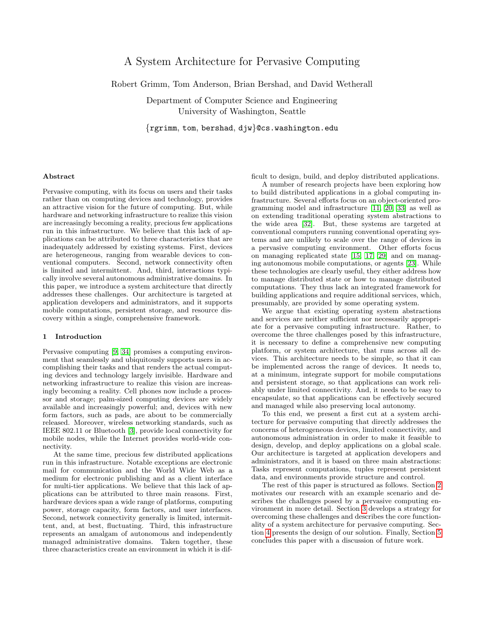# A System Architecture for Pervasive Computing

Robert Grimm, Tom Anderson, Brian Bershad, and David Wetherall

Department of Computer Science and Engineering University of Washington, Seattle

{rgrimm, tom, bershad, djw}@cs.washington.edu

#### Abstract

Pervasive computing, with its focus on users and their tasks rather than on computing devices and technology, provides an attractive vision for the future of computing. But, while hardware and networking infrastructure to realize this vision are increasingly becoming a reality, precious few applications run in this infrastructure. We believe that this lack of applications can be attributed to three characteristics that are inadequately addressed by existing systems. First, devices are heterogeneous, ranging from wearable devices to conventional computers. Second, network connectivity often is limited and intermittent. And, third, interactions typically involve several autonomous administrative domains. In this paper, we introduce a system architecture that directly addresses these challenges. Our architecture is targeted at application developers and administrators, and it supports mobile computations, persistent storage, and resource discovery within a single, comprehensive framework.

## 1 Introduction

Pervasive computing [\[9,](#page-4-0) [34\]](#page-5-0) promises a computing environment that seamlessly and ubiquitously supports users in accomplishing their tasks and that renders the actual computing devices and technology largely invisible. Hardware and networking infrastructure to realize this vision are increasingly becoming a reality. Cell phones now include a processor and storage; palm-sized computing devices are widely available and increasingly powerful; and, devices with new form factors, such as pads, are about to be commercially released. Moreover, wireless networking standards, such as IEEE 802.11 or Bluetooth [\[3\]](#page-4-1), provide local connectivity for mobile nodes, while the Internet provides world-wide connectivity.

At the same time, precious few distributed applications run in this infrastructure. Notable exceptions are electronic mail for communication and the World Wide Web as a medium for electronic publishing and as a client interface for multi-tier applications. We believe that this lack of applications can be attributed to three main reasons. First, hardware devices span a wide range of platforms, computing power, storage capacity, form factors, and user interfaces. Second, network connectivity generally is limited, intermittent, and, at best, fluctuating. Third, this infrastructure represents an amalgam of autonomous and independently managed administrative domains. Taken together, these three characteristics create an environment in which it is difficult to design, build, and deploy distributed applications.

A number of research projects have been exploring how to build distributed applications in a global computing infrastructure. Several efforts focus on an object-oriented programming model and infrastructure [\[11,](#page-4-2) [20,](#page-4-3) [33\]](#page-5-1) as well as on extending traditional operating system abstractions to the wide area [\[32\]](#page-5-2). But, these systems are targeted at conventional computers running conventional operating systems and are unlikely to scale over the range of devices in a pervasive computing environment. Other efforts focus on managing replicated state [\[15,](#page-4-4) [17,](#page-4-5) [29\]](#page-5-3) and on managing autonomous mobile computations, or agents [\[23\]](#page-4-6). While these technologies are clearly useful, they either address how to manage distributed state or how to manage distributed computations. They thus lack an integrated framework for building applications and require additional services, which, presumably, are provided by some operating system.

We argue that existing operating system abstractions and services are neither sufficient nor necessarily appropriate for a pervasive computing infrastructure. Rather, to overcome the three challenges posed by this infrastructure, it is necessary to define a comprehensive new computing platform, or system architecture, that runs across all devices. This architecture needs to be simple, so that it can be implemented across the range of devices. It needs to, at a minimum, integrate support for mobile computations and persistent storage, so that applications can work reliably under limited connectivity. And, it needs to be easy to encapsulate, so that applications can be effectively secured and managed while also preserving local autonomy.

To this end, we present a first cut at a system architecture for pervasive computing that directly addresses the concerns of heterogeneous devices, limited connectivity, and autonomous administration in order to make it feasible to design, develop, and deploy applications on a global scale. Our architecture is targeted at application developers and administrators, and it is based on three main abstractions: Tasks represent computations, tuples represent persistent data, and environments provide structure and control.

The rest of this paper is structured as follows. Section [2](#page-1-0) motivates our research with an example scenario and describes the challenges posed by a pervasive computing environment in more detail. Section [3](#page-1-1) develops a strategy for overcoming these challenges and describes the core functionality of a system architecture for pervasive computing. Section [4](#page-2-0) presents the design of our solution. Finally, Section [5](#page-3-0) concludes this paper with a discussion of future work.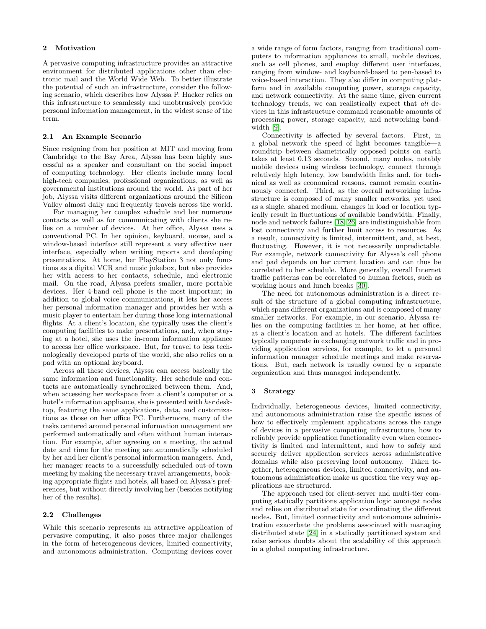## <span id="page-1-0"></span>2 Motivation

A pervasive computing infrastructure provides an attractive environment for distributed applications other than electronic mail and the World Wide Web. To better illustrate the potential of such an infrastructure, consider the following scenario, which describes how Alyssa P. Hacker relies on this infrastructure to seamlessly and unobtrusively provide personal information management, in the widest sense of the term.

#### 2.1 An Example Scenario

Since resigning from her position at MIT and moving from Cambridge to the Bay Area, Alyssa has been highly successful as a speaker and consultant on the social impact of computing technology. Her clients include many local high-tech companies, professional organizations, as well as governmental institutions around the world. As part of her job, Alyssa visits different organizations around the Silicon Valley almost daily and frequently travels across the world.

For managing her complex schedule and her numerous contacts as well as for communicating with clients she relies on a number of devices. At her office, Alyssa uses a conventional PC. In her opinion, keyboard, mouse, and a window-based interface still represent a very effective user interface, especially when writing reports and developing presentations. At home, her PlayStation 3 not only functions as a digital VCR and music jukebox, but also provides her with access to her contacts, schedule, and electronic mail. On the road, Alyssa prefers smaller, more portable devices. Her 4-band cell phone is the most important; in addition to global voice communications, it lets her access her personal information manager and provides her with a music player to entertain her during those long international flights. At a client's location, she typically uses the client's computing facilities to make presentations, and, when staying at a hotel, she uses the in-room information appliance to access her office workspace. But, for travel to less technologically developed parts of the world, she also relies on a pad with an optional keyboard.

Across all these devices, Alyssa can access basically the same information and functionality. Her schedule and contacts are automatically synchronized between them. And, when accessing her workspace from a client's computer or a hotel's information appliance, she is presented with her desktop, featuring the same applications, data, and customizations as those on her office PC. Furthermore, many of the tasks centered around personal information management are performed automatically and often without human interaction. For example, after agreeing on a meeting, the actual date and time for the meeting are automatically scheduled by her and her client's personal information managers. And, her manager reacts to a successfully scheduled out-of-town meeting by making the necessary travel arrangements, booking appropriate flights and hotels, all based on Alyssa's preferences, but without directly involving her (besides notifying her of the results).

#### 2.2 Challenges

While this scenario represents an attractive application of pervasive computing, it also poses three major challenges in the form of heterogeneous devices, limited connectivity, and autonomous administration. Computing devices cover

a wide range of form factors, ranging from traditional computers to information appliances to small, mobile devices, such as cell phones, and employ different user interfaces, ranging from window- and keyboard-based to pen-based to voice-based interaction. They also differ in computing platform and in available computing power, storage capacity, and network connectivity. At the same time, given current technology trends, we can realistically expect that all devices in this infrastructure command reasonable amounts of processing power, storage capacity, and networking bandwidth [\[9\]](#page-4-0).

Connectivity is affected by several factors. First, in a global network the speed of light becomes tangible—a roundtrip between diametrically opposed points on earth takes at least 0.13 seconds. Second, many nodes, notably mobile devices using wireless technology, connect through relatively high latency, low bandwidth links and, for technical as well as economical reasons, cannot remain continuously connected. Third, as the overall networking infrastructure is composed of many smaller networks, yet used as a single, shared medium, changes in load or location typically result in fluctuations of available bandwidth. Finally, node and network failures [\[18,](#page-4-7) [26\]](#page-5-4) are indistinguishable from lost connectivity and further limit access to resources. As a result, connectivity is limited, intermittent, and, at best, fluctuating. However, it is not necessarily unpredictable. For example, network connectivity for Alyssa's cell phone and pad depends on her current location and can thus be correlated to her schedule. More generally, overall Internet traffic patterns can be correlated to human factors, such as working hours and lunch breaks [\[30\]](#page-5-5).

The need for autonomous administration is a direct result of the structure of a global computing infrastructure, which spans different organizations and is composed of many smaller networks. For example, in our scenario, Alyssa relies on the computing facilities in her home, at her office, at a client's location and at hotels. The different facilities typically cooperate in exchanging network traffic and in providing application services, for example, to let a personal information manager schedule meetings and make reservations. But, each network is usually owned by a separate organization and thus managed independently.

# <span id="page-1-1"></span>3 Strategy

Individually, heterogeneous devices, limited connectivity, and autonomous administration raise the specific issues of how to effectively implement applications across the range of devices in a pervasive computing infrastructure, how to reliably provide application functionality even when connectivity is limited and intermittent, and how to safely and securely deliver application services across administrative domains while also preserving local autonomy. Taken together, heterogeneous devices, limited connectivity, and autonomous administration make us question the very way applications are structured.

The approach used for client-server and multi-tier computing statically partitions application logic amongst nodes and relies on distributed state for coordinating the different nodes. But, limited connectivity and autonomous administration exacerbate the problems associated with managing distributed state [\[24\]](#page-5-6) in a statically partitioned system and raise serious doubts about the scalability of this approach in a global computing infrastructure.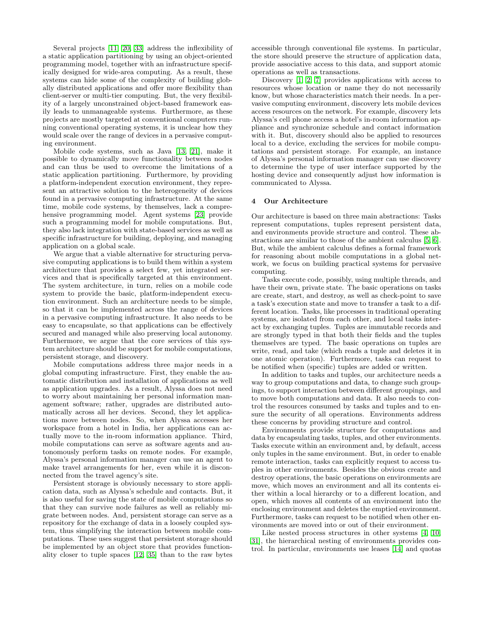Several projects [\[11,](#page-4-2) [20,](#page-4-3) [33\]](#page-5-1) address the inflexibility of a static application partitioning by using an object-oriented programming model, together with an infrastructure specifically designed for wide-area computing. As a result, these systems can hide some of the complexity of building globally distributed applications and offer more flexibility than client-server or multi-tier computing. But, the very flexibility of a largely unconstrained object-based framework easily leads to unmanageable systems. Furthermore, as these projects are mostly targeted at conventional computers running conventional operating systems, it is unclear how they would scale over the range of devices in a pervasive computing environment.

Mobile code systems, such as Java [\[13,](#page-4-8) [21\]](#page-4-9), make it possible to dynamically move functionality between nodes and can thus be used to overcome the limitations of a static application partitioning. Furthermore, by providing a platform-independent execution environment, they represent an attractive solution to the heterogeneity of devices found in a pervasive computing infrastructure. At the same time, mobile code systems, by themselves, lack a comprehensive programming model. Agent systems [\[23\]](#page-4-6) provide such a programming model for mobile computations. But, they also lack integration with state-based services as well as specific infrastructure for building, deploying, and managing application on a global scale.

We argue that a viable alternative for structuring pervasive computing applications is to build them within a system architecture that provides a select few, yet integrated services and that is specifically targeted at this environment. The system architecture, in turn, relies on a mobile code system to provide the basic, platform-independent execution environment. Such an architecture needs to be simple, so that it can be implemented across the range of devices in a pervasive computing infrastructure. It also needs to be easy to encapsulate, so that applications can be effectively secured and managed while also preserving local autonomy. Furthermore, we argue that the core services of this system architecture should be support for mobile computations, persistent storage, and discovery.

Mobile computations address three major needs in a global computing infrastructure. First, they enable the automatic distribution and installation of applications as well as application upgrades. As a result, Alyssa does not need to worry about maintaining her personal information management software; rather, upgrades are distributed automatically across all her devices. Second, they let applications move between nodes. So, when Alyssa accesses her workspace from a hotel in India, her applications can actually move to the in-room information appliance. Third, mobile computations can serve as software agents and autonomously perform tasks on remote nodes. For example, Alyssa's personal information manager can use an agent to make travel arrangements for her, even while it is disconnected from the travel agency's site.

Persistent storage is obviously necessary to store application data, such as Alyssa's schedule and contacts. But, it is also useful for saving the state of mobile computations so that they can survive node failures as well as reliably migrate between nodes. And, persistent storage can serve as a repository for the exchange of data in a loosely coupled system, thus simplifying the interaction between mobile computations. These uses suggest that persistent storage should be implemented by an object store that provides functionality closer to tuple spaces [\[12,](#page-4-10) [35\]](#page-5-7) than to the raw bytes accessible through conventional file systems. In particular, the store should preserve the structure of application data, provide associative access to this data, and support atomic operations as well as transactions.

Discovery  $[1, 2, 7]$  $[1, 2, 7]$  $[1, 2, 7]$  provides applications with access to resources whose location or name they do not necessarily know, but whose characteristics match their needs. In a pervasive computing environment, discovery lets mobile devices access resources on the network. For example, discovery lets Alyssa's cell phone access a hotel's in-room information appliance and synchronize schedule and contact information with it. But, discovery should also be applied to resources local to a device, excluding the services for mobile computations and persistent storage. For example, an instance of Alyssa's personal information manager can use discovery to determine the type of user interface supported by the hosting device and consequently adjust how information is communicated to Alyssa.

# <span id="page-2-0"></span>4 Our Architecture

Our architecture is based on three main abstractions: Tasks represent computations, tuples represent persistent data, and environments provide structure and control. These abstractions are similar to those of the ambient calculus [\[5,](#page-4-14) [6\]](#page-4-15). But, while the ambient calculus defines a formal framework for reasoning about mobile computations in a global network, we focus on building practical systems for pervasive computing.

Tasks execute code, possibly, using multiple threads, and have their own, private state. The basic operations on tasks are create, start, and destroy, as well as check-point to save a task's execution state and move to transfer a task to a different location. Tasks, like processes in traditional operating systems, are isolated from each other, and local tasks interact by exchanging tuples. Tuples are immutable records and are strongly typed in that both their fields and the tuples themselves are typed. The basic operations on tuples are write, read, and take (which reads a tuple and deletes it in one atomic operation). Furthermore, tasks can request to be notified when (specific) tuples are added or written.

In addition to tasks and tuples, our architecture needs a way to group computations and data, to change such groupings, to support interaction between different groupings, and to move both computations and data. It also needs to control the resources consumed by tasks and tuples and to ensure the security of all operations. Environments address these concerns by providing structure and control.

Environments provide structure for computations and data by encapsulating tasks, tuples, and other environments. Tasks execute within an environment and, by default, access only tuples in the same environment. But, in order to enable remote interaction, tasks can explicitly request to access tuples in other environments. Besides the obvious create and destroy operations, the basic operations on environments are move, which moves an environment and all its contents either within a local hierarchy or to a different location, and open, which moves all contents of an environment into the enclosing environment and deletes the emptied environment. Furthermore, tasks can request to be notified when other environments are moved into or out of their environment.

Like nested process structures in other systems [\[4,](#page-4-16) [10,](#page-4-17) [31\]](#page-5-8), the hierarchical nesting of environments provides control. In particular, environments use leases [\[14\]](#page-4-18) and quotas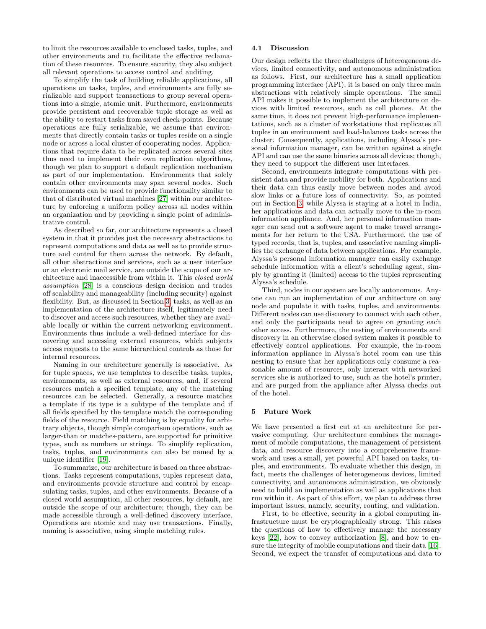to limit the resources available to enclosed tasks, tuples, and other environments and to facilitate the effective reclamation of these resources. To ensure security, they also subject all relevant operations to access control and auditing.

To simplify the task of building reliable applications, all operations on tasks, tuples, and environments are fully serializable and support transactions to group several operations into a single, atomic unit. Furthermore, environments provide persistent and recoverable tuple storage as well as the ability to restart tasks from saved check-points. Because operations are fully serializable, we assume that environments that directly contain tasks or tuples reside on a single node or across a local cluster of cooperating nodes. Applications that require data to be replicated across several sites thus need to implement their own replication algorithms, though we plan to support a default replication mechanism as part of our implementation. Environments that solely contain other environments may span several nodes. Such environments can be used to provide functionality similar to that of distributed virtual machines [\[27\]](#page-5-9) within our architecture by enforcing a uniform policy across all nodes within an organization and by providing a single point of administrative control.

As described so far, our architecture represents a closed system in that it provides just the necessary abstractions to represent computations and data as well as to provide structure and control for them across the network. By default, all other abstractions and services, such as a user interface or an electronic mail service, are outside the scope of our architecture and inaccessible from within it. This closed world assumption [\[28\]](#page-5-10) is a conscious design decision and trades off scalability and manageability (including security) against flexibility. But, as discussed in Section [3,](#page-1-1) tasks, as well as an implementation of the architecture itself, legitimately need to discover and access such resources, whether they are available locally or within the current networking environment. Environments thus include a well-defined interface for discovering and accessing external resources, which subjects access requests to the same hierarchical controls as those for internal resources.

Naming in our architecture generally is associative. As for tuple spaces, we use templates to describe tasks, tuples, environments, as well as external resources, and, if several resources match a specified template, any of the matching resources can be selected. Generally, a resource matches a template if its type is a subtype of the template and if all fields specified by the template match the corresponding fields of the resource. Field matching is by equality for arbitrary objects, though simple comparison operations, such as larger-than or matches-pattern, are supported for primitive types, such as numbers or strings. To simplify replication, tasks, tuples, and environments can also be named by a unique identifier [\[19\]](#page-4-19).

To summarize, our architecture is based on three abstractions. Tasks represent computations, tuples represent data, and environments provide structure and control by encapsulating tasks, tuples, and other environments. Because of a closed world assumption, all other resources, by default, are outside the scope of our architecture; though, they can be made accessible through a well-defined discovery interface. Operations are atomic and may use transactions. Finally, naming is associative, using simple matching rules.

## 4.1 Discussion

Our design reflects the three challenges of heterogeneous devices, limited connectivity, and autonomous administration as follows. First, our architecture has a small application programming interface (API); it is based on only three main abstractions with relatively simple operations. The small API makes it possible to implement the architecture on devices with limited resources, such as cell phones. At the same time, it does not prevent high-performance implementations, such as a cluster of workstations that replicates all tuples in an environment and load-balances tasks across the cluster. Consequently, applications, including Alyssa's personal information manager, can be written against a single API and can use the same binaries across all devices; though, they need to support the different user interfaces.

Second, environments integrate computations with persistent data and provide mobility for both. Applications and their data can thus easily move between nodes and avoid slow links or a future loss of connectivity. So, as pointed out in Section [3,](#page-1-1) while Alyssa is staying at a hotel in India, her applications and data can actually move to the in-room information appliance. And, her personal information manager can send out a software agent to make travel arrangements for her return to the USA. Furthermore, the use of typed records, that is, tuples, and associative naming simplifies the exchange of data between applications. For example, Alyssa's personal information manager can easily exchange schedule information with a client's scheduling agent, simply by granting it (limited) access to the tuples representing Alyssa's schedule.

Third, nodes in our system are locally autonomous. Anyone can run an implementation of our architecture on any node and populate it with tasks, tuples, and environments. Different nodes can use discovery to connect with each other, and only the participants need to agree on granting each other access. Furthermore, the nesting of environments and discovery in an otherwise closed system makes it possible to effectively control applications. For example, the in-room information appliance in Alyssa's hotel room can use this nesting to ensure that her applications only consume a reasonable amount of resources, only interact with networked services she is authorized to use, such as the hotel's printer, and are purged from the appliance after Alyssa checks out of the hotel.

# <span id="page-3-0"></span>5 Future Work

We have presented a first cut at an architecture for pervasive computing. Our architecture combines the management of mobile computations, the management of persistent data, and resource discovery into a comprehensive framework and uses a small, yet powerful API based on tasks, tuples, and environments. To evaluate whether this design, in fact, meets the challenges of heterogeneous devices, limited connectivity, and autonomous administration, we obviously need to build an implementation as well as applications that run within it. As part of this effort, we plan to address three important issues, namely, security, routing, and validation.

First, to be effective, security in a global computing infrastructure must be cryptographically strong. This raises the questions of how to effectively manage the necessary keys [\[22\]](#page-4-20), how to convey authorization [\[8\]](#page-4-21), and how to ensure the integrity of mobile computations and their data [\[16\]](#page-4-22). Second, we expect the transfer of computations and data to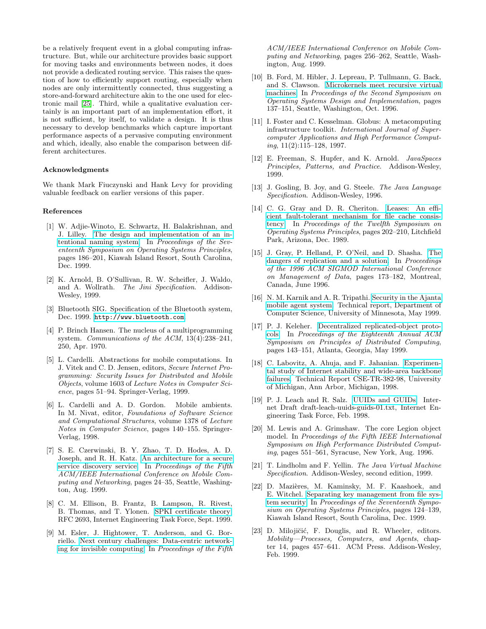be a relatively frequent event in a global computing infrastructure. But, while our architecture provides basic support for moving tasks and environments between nodes, it does not provide a dedicated routing service. This raises the question of how to efficiently support routing, especially when nodes are only intermittently connected, thus suggesting a store-and-forward architecture akin to the one used for electronic mail [\[25\]](#page-5-11). Third, while a qualitative evaluation certainly is an important part of an implementation effort, it is not sufficient, by itself, to validate a design. It is thus necessary to develop benchmarks which capture important performance aspects of a pervasive computing environment and which, ideally, also enable the comparison between different architectures.

## Acknowledgments

We thank Mark Fiuczynski and Hank Levy for providing valuable feedback on earlier versions of this paper.

#### References

- <span id="page-4-11"></span>[1] W. Adjie-Winoto, E. Schwartz, H. Balakrishnan, and J. Lilley. [The design and implementation of an in](http://www.acm.org/pubs/articles/proceedings/ops/319151/p186-adjie-winoto/p186-adjie-winoto.pdf)[tentional naming system.](http://www.acm.org/pubs/articles/proceedings/ops/319151/p186-adjie-winoto/p186-adjie-winoto.pdf) In Proceedings of the Seventeenth Symposium on Operating Systems Principles, pages 186–201, Kiawah Island Resort, South Carolina, Dec. 1999.
- <span id="page-4-12"></span>[2] K. Arnold, B. O'Sullivan, R. W. Scheifler, J. Waldo, and A. Wollrath. The Jini Specification. Addison-Wesley, 1999.
- <span id="page-4-1"></span>[3] Bluetooth SIG. Specification of the Bluetooth system, Dec. 1999. <http://www.bluetooth.com>.
- <span id="page-4-16"></span>[4] P. Brinch Hansen. The nucleus of a multiprogramming system. Communications of the  $ACM$ ,  $13(4):238-241$ , 250, Apr. 1970.
- <span id="page-4-14"></span>[5] L. Cardelli. Abstractions for mobile computations. In J. Vitek and C. D. Jensen, editors, Secure Internet Programming: Security Issues for Distributed and Mobile Objects, volume 1603 of Lecture Notes in Computer Science, pages 51–94. Springer-Verlag, 1999.
- <span id="page-4-15"></span>[6] L. Cardelli and A. D. Gordon. Mobile ambients. In M. Nivat, editor, Foundations of Software Science and Computational Structures, volume 1378 of Lecture Notes in Computer Science, pages 140–155. Springer-Verlag, 1998.
- <span id="page-4-13"></span>[7] S. E. Czerwinski, B. Y. Zhao, T. D. Hodes, A. D. Joseph, and R. H. Katz. [An architecture for a secure](http://www.acm.org/pubs/articles/proceedings/comm/313451/p24-czerwinski/p24-czerwinski.pdf) [service discovery service.](http://www.acm.org/pubs/articles/proceedings/comm/313451/p24-czerwinski/p24-czerwinski.pdf) In Proceedings of the Fifth ACM/IEEE International Conference on Mobile Computing and Networking, pages 24–35, Seattle, Washington, Aug. 1999.
- <span id="page-4-21"></span>[8] C. M. Ellison, B. Frantz, B. Lampson, R. Rivest, B. Thomas, and T. Ylonen. [SPKI certificate theory.](http://www.ietf.org/rfc/rfc2693.txt) RFC 2693, Internet Engineering Task Force, Sept. 1999.
- <span id="page-4-0"></span>[9] M. Esler, J. Hightower, T. Anderson, and G. Borriello. [Next century challenges: Data-centric network](http://www.acm.org/pubs/articles/proceedings/comm/313451/p256-esler/p256-esler.pdf)[ing for invisible computing.](http://www.acm.org/pubs/articles/proceedings/comm/313451/p256-esler/p256-esler.pdf) In Proceedings of the Fifth

ACM/IEEE International Conference on Mobile Computing and Networking, pages 256–262, Seattle, Washington, Aug. 1999.

- <span id="page-4-17"></span>[10] B. Ford, M. Hibler, J. Lepreau, P. Tullmann, G. Back, and S. Clawson. [Microkernels meet recursive virtual](http://www.usenix.org/publications/library/proceedings/osdi96/full_papers/hibler/hibler.ps) [machines.](http://www.usenix.org/publications/library/proceedings/osdi96/full_papers/hibler/hibler.ps) In Proceedings of the Second Symposium on Operating Systems Design and Implementation, pages 137–151, Seattle, Washington, Oct. 1996.
- <span id="page-4-2"></span>[11] I. Foster and C. Kesselman. Globus: A metacomputing infrastructure toolkit. International Journal of Supercomputer Applications and High Performance Computing, 11(2):115–128, 1997.
- <span id="page-4-10"></span>[12] E. Freeman, S. Hupfer, and K. Arnold. JavaSpaces Principles, Patterns, and Practice. Addison-Wesley, 1999.
- <span id="page-4-8"></span>[13] J. Gosling, B. Joy, and G. Steele. The Java Language Specification. Addison-Wesley, 1996.
- <span id="page-4-18"></span>[14] C. G. Gray and D. R. Cheriton. [Leases: An effi](http://www.acm.org/pubs/articles/proceedings/ops/74850/p202-gray/p202-gray.pdf)[cient fault-tolerant mechanism for file cache consis](http://www.acm.org/pubs/articles/proceedings/ops/74850/p202-gray/p202-gray.pdf)[tency.](http://www.acm.org/pubs/articles/proceedings/ops/74850/p202-gray/p202-gray.pdf) In Proceedings of the Twelfth Symposium on Operating Systems Principles, pages 202–210, Litchfield Park, Arizona, Dec. 1989.
- <span id="page-4-4"></span>[15] J. Gray, P. Helland, P. O'Neil, and D. Shasha. [The](http://www.acm.org/pubs/articles/proceedings/mod/233269/p173-gray/p173-gray.pdf) [dangers of replication and a solution.](http://www.acm.org/pubs/articles/proceedings/mod/233269/p173-gray/p173-gray.pdf) In Proceedings of the 1996 ACM SIGMOD International Conference on Management of Data, pages 173–182, Montreal, Canada, June 1996.
- <span id="page-4-22"></span>[16] N. M. Karnik and A. R. Tripathi. [Security in the Ajanta](http://www.cs.umn.edu/Ajanta/papers/securityPaper.ps) [mobile agent system.](http://www.cs.umn.edu/Ajanta/papers/securityPaper.ps) Technical report, Department of Computer Science, University of Minnesota, May 1999.
- <span id="page-4-5"></span>[17] P. J. Keleher. [Decentralized replicated-object proto](http://www.acm.org/pubs/articles/proceedings/podc/301308/p143-keleher/p143-keleher.pdf)[cols.](http://www.acm.org/pubs/articles/proceedings/podc/301308/p143-keleher/p143-keleher.pdf) In Proceedings of the Eighteenth Annual ACM Symposium on Principles of Distributed Computing, pages 143–151, Atlanta, Georgia, May 1999.
- <span id="page-4-7"></span>[18] C. Labovitz, A. Ahuja, and F. Jahanian. [Experimen](http://www.eecs.umich.edu/techreports/cse/1998/CSE-TR-382-98.pdf)[tal study of Internet stability and wide-area backbone](http://www.eecs.umich.edu/techreports/cse/1998/CSE-TR-382-98.pdf) [failures.](http://www.eecs.umich.edu/techreports/cse/1998/CSE-TR-382-98.pdf) Technical Report CSE-TR-382-98, University of Michigan, Ann Arbor, Michigan, 1998.
- <span id="page-4-19"></span>[19] P. J. Leach and R. Salz. [UUIDs and GUIDs.](http://www.opennc.org/dce/info/draft-leach-uuids-guids-01.txt) Internet Draft draft-leach-uuids-guids-01.txt, Internet Engineering Task Force, Feb. 1998.
- <span id="page-4-3"></span>[20] M. Lewis and A. Grimshaw. The core Legion object model. In Proceedings of the Fifth IEEE International Symposium on High Performance Distributed Computing, pages 551–561, Syracuse, New York, Aug. 1996.
- <span id="page-4-9"></span>[21] T. Lindholm and F. Yellin. The Java Virtual Machine Specification. Addison-Wesley, second edition, 1999.
- <span id="page-4-20"></span>[22] D. Mazières, M. Kaminsky, M. F. Kaashoek, and E. Witchel. [Separating key management from file sys](http://www.acm.org/pubs/articles/proceedings/ops/319151/p124-mazieres/p124-mazieres.pdf)[tem security.](http://www.acm.org/pubs/articles/proceedings/ops/319151/p124-mazieres/p124-mazieres.pdf) In Proceedings of the Seventeenth Symposium on Operating Systems Principles, pages 124–139, Kiawah Island Resort, South Carolina, Dec. 1999.
- <span id="page-4-6"></span>[23] D. Milojičić, F. Douglis, and R. Wheeler, editors. Mobility—Processes, Computers, and Agents, chapter 14, pages 457–641. ACM Press. Addison-Wesley, Feb. 1999.